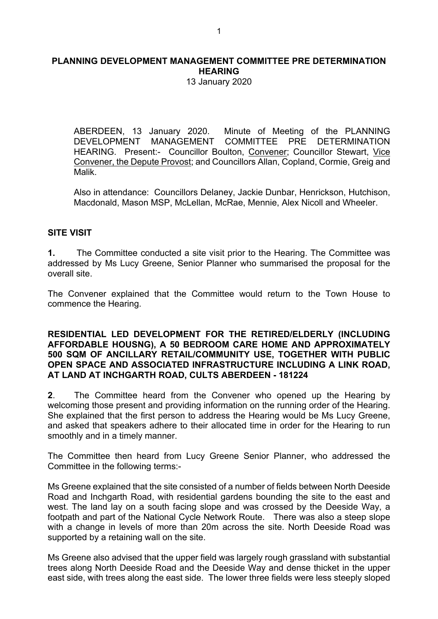13 January 2020

ABERDEEN, 13 January 2020. Minute of Meeting of the PLANNING<br>DEVELOPMENT MANAGEMENT COMMITTEE PRE DETERMINATION COMMITTEE PRE DETERMINATION HEARING. Present:- Councillor Boulton, Convener; Councillor Stewart, Vice Convener, the Depute Provost; and Councillors Allan, Copland, Cormie, Greig and Malik.

Also in attendance: Councillors Delaney, Jackie Dunbar, Henrickson, Hutchison, Macdonald, Mason MSP, McLellan, McRae, Mennie, Alex Nicoll and Wheeler.

#### **SITE VISIT**

**1.** The Committee conducted a site visit prior to the Hearing. The Committee was addressed by Ms Lucy Greene, Senior Planner who summarised the proposal for the overall site.

The Convener explained that the Committee would return to the Town House to commence the Hearing.

#### **RESIDENTIAL LED DEVELOPMENT FOR THE RETIRED/ELDERLY (INCLUDING AFFORDABLE HOUSNG), A 50 BEDROOM CARE HOME AND APPROXIMATELY 500 SQM OF ANCILLARY RETAIL/COMMUNITY USE, TOGETHER WITH PUBLIC OPEN SPACE AND ASSOCIATED INFRASTRUCTURE INCLUDING A LINK ROAD, AT LAND AT INCHGARTH ROAD, CULTS ABERDEEN - 181224**

**2**. The Committee heard from the Convener who opened up the Hearing by welcoming those present and providing information on the running order of the Hearing. She explained that the first person to address the Hearing would be Ms Lucy Greene, and asked that speakers adhere to their allocated time in order for the Hearing to run smoothly and in a timely manner.

The Committee then heard from Lucy Greene Senior Planner, who addressed the Committee in the following terms:-

Ms Greene explained that the site consisted of a number of fields between North Deeside Road and Inchgarth Road, with residential gardens bounding the site to the east and west. The land lay on a south facing slope and was crossed by the Deeside Way, a footpath and part of the National Cycle Network Route. There was also a steep slope with a change in levels of more than 20m across the site. North Deeside Road was supported by a retaining wall on the site.

Ms Greene also advised that the upper field was largely rough grassland with substantial trees along North Deeside Road and the Deeside Way and dense thicket in the upper east side, with trees along the east side. The lower three fields were less steeply sloped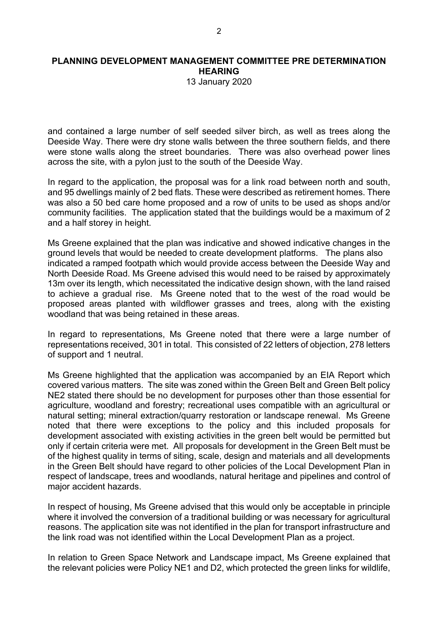13 January 2020

and contained a large number of self seeded silver birch, as well as trees along the Deeside Way. There were dry stone walls between the three southern fields, and there were stone walls along the street boundaries. There was also overhead power lines across the site, with a pylon just to the south of the Deeside Way.

In regard to the application, the proposal was for a link road between north and south, and 95 dwellings mainly of 2 bed flats. These were described as retirement homes. There was also a 50 bed care home proposed and a row of units to be used as shops and/or community facilities. The application stated that the buildings would be a maximum of 2 and a half storey in height.

Ms Greene explained that the plan was indicative and showed indicative changes in the ground levels that would be needed to create development platforms. The plans also indicated a ramped footpath which would provide access between the Deeside Way and North Deeside Road. Ms Greene advised this would need to be raised by approximately 13m over its length, which necessitated the indicative design shown, with the land raised to achieve a gradual rise. Ms Greene noted that to the west of the road would be proposed areas planted with wildflower grasses and trees, along with the existing woodland that was being retained in these areas.

In regard to representations, Ms Greene noted that there were a large number of representations received, 301 in total. This consisted of 22 letters of objection, 278 letters of support and 1 neutral.

Ms Greene highlighted that the application was accompanied by an EIA Report which covered various matters. The site was zoned within the Green Belt and Green Belt policy NE2 stated there should be no development for purposes other than those essential for agriculture, woodland and forestry; recreational uses compatible with an agricultural or natural setting; mineral extraction/quarry restoration or landscape renewal. Ms Greene noted that there were exceptions to the policy and this included proposals for development associated with existing activities in the green belt would be permitted but only if certain criteria were met. All proposals for development in the Green Belt must be of the highest quality in terms of siting, scale, design and materials and all developments in the Green Belt should have regard to other policies of the Local Development Plan in respect of landscape, trees and woodlands, natural heritage and pipelines and control of major accident hazards.

In respect of housing, Ms Greene advised that this would only be acceptable in principle where it involved the conversion of a traditional building or was necessary for agricultural reasons. The application site was not identified in the plan for transport infrastructure and the link road was not identified within the Local Development Plan as a project.

In relation to Green Space Network and Landscape impact, Ms Greene explained that the relevant policies were Policy NE1 and D2, which protected the green links for wildlife,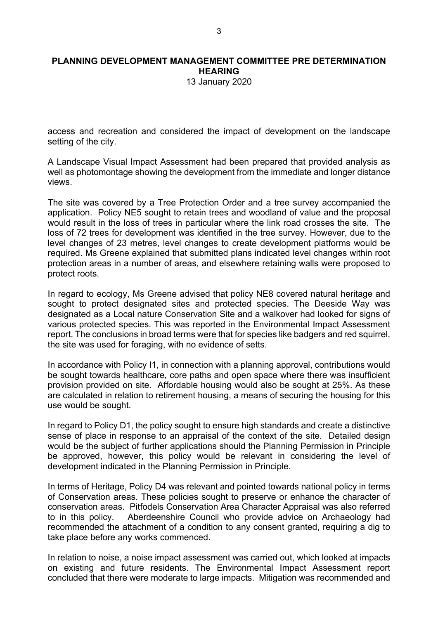13 January 2020

access and recreation and considered the impact of development on the landscape setting of the city.

A Landscape Visual Impact Assessment had been prepared that provided analysis as well as photomontage showing the development from the immediate and longer distance views.

The site was covered by a Tree Protection Order and a tree survey accompanied the application. Policy NE5 sought to retain trees and woodland of value and the proposal would result in the loss of trees in particular where the link road crosses the site. The loss of 72 trees for development was identified in the tree survey. However, due to the level changes of 23 metres, level changes to create development platforms would be required. Ms Greene explained that submitted plans indicated level changes within root protection areas in a number of areas, and elsewhere retaining walls were proposed to protect roots.

In regard to ecology, Ms Greene advised that policy NE8 covered natural heritage and sought to protect designated sites and protected species. The Deeside Way was designated as a Local nature Conservation Site and a walkover had looked for signs of various protected species. This was reported in the Environmental Impact Assessment report. The conclusions in broad terms were that for species like badgers and red squirrel, the site was used for foraging, with no evidence of setts.

In accordance with Policy I1, in connection with a planning approval, contributions would be sought towards healthcare, core paths and open space where there was insufficient provision provided on site. Affordable housing would also be sought at 25%. As these are calculated in relation to retirement housing, a means of securing the housing for this use would be sought.

In regard to Policy D1, the policy sought to ensure high standards and create a distinctive sense of place in response to an appraisal of the context of the site. Detailed design would be the subject of further applications should the Planning Permission in Principle be approved, however, this policy would be relevant in considering the level of development indicated in the Planning Permission in Principle.

In terms of Heritage, Policy D4 was relevant and pointed towards national policy in terms of Conservation areas. These policies sought to preserve or enhance the character of conservation areas. Pitfodels Conservation Area Character Appraisal was also referred to in this policy. Aberdeenshire Council who provide advice on Archaeology had recommended the attachment of a condition to any consent granted, requiring a dig to take place before any works commenced.

In relation to noise, a noise impact assessment was carried out, which looked at impacts on existing and future residents. The Environmental Impact Assessment report concluded that there were moderate to large impacts. Mitigation was recommended and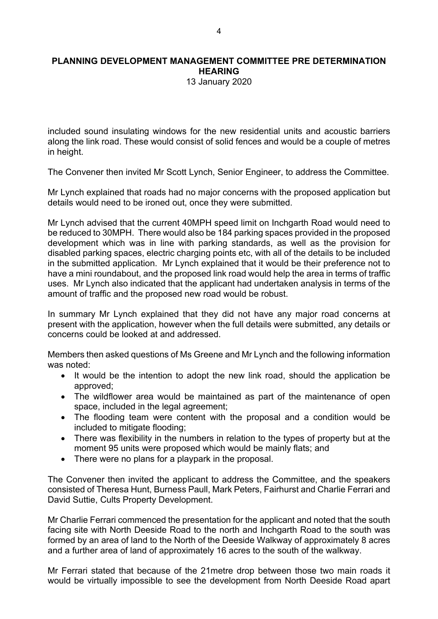13 January 2020

included sound insulating windows for the new residential units and acoustic barriers along the link road. These would consist of solid fences and would be a couple of metres in height.

The Convener then invited Mr Scott Lynch, Senior Engineer, to address the Committee.

Mr Lynch explained that roads had no major concerns with the proposed application but details would need to be ironed out, once they were submitted.

Mr Lynch advised that the current 40MPH speed limit on Inchgarth Road would need to be reduced to 30MPH. There would also be 184 parking spaces provided in the proposed development which was in line with parking standards, as well as the provision for disabled parking spaces, electric charging points etc, with all of the details to be included in the submitted application. Mr Lynch explained that it would be their preference not to have a mini roundabout, and the proposed link road would help the area in terms of traffic uses. Mr Lynch also indicated that the applicant had undertaken analysis in terms of the amount of traffic and the proposed new road would be robust.

In summary Mr Lynch explained that they did not have any major road concerns at present with the application, however when the full details were submitted, any details or concerns could be looked at and addressed.

Members then asked questions of Ms Greene and Mr Lynch and the following information was noted:

- It would be the intention to adopt the new link road, should the application be approved;
- The wildflower area would be maintained as part of the maintenance of open space, included in the legal agreement;
- The flooding team were content with the proposal and a condition would be included to mitigate flooding;
- There was flexibility in the numbers in relation to the types of property but at the moment 95 units were proposed which would be mainly flats; and
- There were no plans for a playpark in the proposal.

The Convener then invited the applicant to address the Committee, and the speakers consisted of Theresa Hunt, Burness Paull, Mark Peters, Fairhurst and Charlie Ferrari and David Suttie, Cults Property Development.

Mr Charlie Ferrari commenced the presentation for the applicant and noted that the south facing site with North Deeside Road to the north and Inchgarth Road to the south was formed by an area of land to the North of the Deeside Walkway of approximately 8 acres and a further area of land of approximately 16 acres to the south of the walkway.

Mr Ferrari stated that because of the 21metre drop between those two main roads it would be virtually impossible to see the development from North Deeside Road apart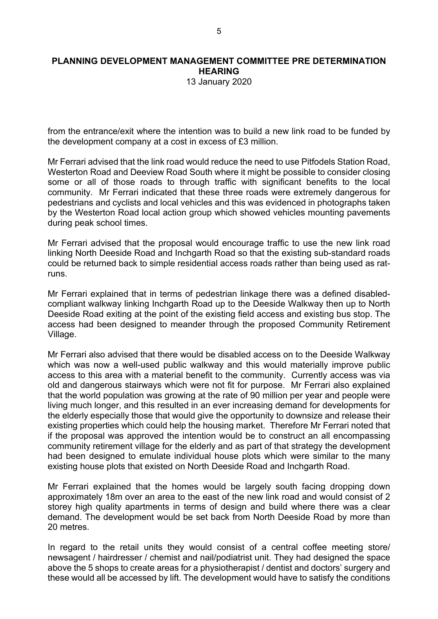13 January 2020

from the entrance/exit where the intention was to build a new link road to be funded by the development company at a cost in excess of £3 million.

Mr Ferrari advised that the link road would reduce the need to use Pitfodels Station Road, Westerton Road and Deeview Road South where it might be possible to consider closing some or all of those roads to through traffic with significant benefits to the local community. Mr Ferrari indicated that these three roads were extremely dangerous for pedestrians and cyclists and local vehicles and this was evidenced in photographs taken by the Westerton Road local action group which showed vehicles mounting pavements during peak school times.

Mr Ferrari advised that the proposal would encourage traffic to use the new link road linking North Deeside Road and Inchgarth Road so that the existing sub-standard roads could be returned back to simple residential access roads rather than being used as ratruns.

Mr Ferrari explained that in terms of pedestrian linkage there was a defined disabledcompliant walkway linking Inchgarth Road up to the Deeside Walkway then up to North Deeside Road exiting at the point of the existing field access and existing bus stop. The access had been designed to meander through the proposed Community Retirement Village.

Mr Ferrari also advised that there would be disabled access on to the Deeside Walkway which was now a well-used public walkway and this would materially improve public access to this area with a material benefit to the community. Currently access was via old and dangerous stairways which were not fit for purpose. Mr Ferrari also explained that the world population was growing at the rate of 90 million per year and people were living much longer, and this resulted in an ever increasing demand for developments for the elderly especially those that would give the opportunity to downsize and release their existing properties which could help the housing market. Therefore Mr Ferrari noted that if the proposal was approved the intention would be to construct an all encompassing community retirement village for the elderly and as part of that strategy the development had been designed to emulate individual house plots which were similar to the many existing house plots that existed on North Deeside Road and Inchgarth Road.

Mr Ferrari explained that the homes would be largely south facing dropping down approximately 18m over an area to the east of the new link road and would consist of 2 storey high quality apartments in terms of design and build where there was a clear demand. The development would be set back from North Deeside Road by more than 20 metres.

In regard to the retail units they would consist of a central coffee meeting store/ newsagent / hairdresser / chemist and nail/podiatrist unit. They had designed the space above the 5 shops to create areas for a physiotherapist / dentist and doctors' surgery and these would all be accessed by lift. The development would have to satisfy the conditions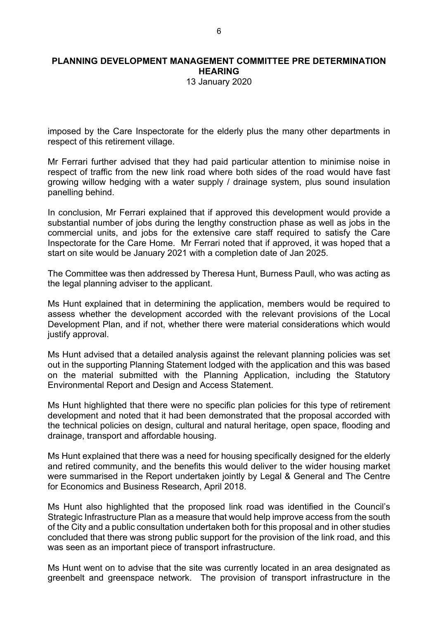13 January 2020

imposed by the Care Inspectorate for the elderly plus the many other departments in respect of this retirement village.

Mr Ferrari further advised that they had paid particular attention to minimise noise in respect of traffic from the new link road where both sides of the road would have fast growing willow hedging with a water supply / drainage system, plus sound insulation panelling behind.

In conclusion, Mr Ferrari explained that if approved this development would provide a substantial number of jobs during the lengthy construction phase as well as jobs in the commercial units, and jobs for the extensive care staff required to satisfy the Care Inspectorate for the Care Home. Mr Ferrari noted that if approved, it was hoped that a start on site would be January 2021 with a completion date of Jan 2025.

The Committee was then addressed by Theresa Hunt, Burness Paull, who was acting as the legal planning adviser to the applicant.

Ms Hunt explained that in determining the application, members would be required to assess whether the development accorded with the relevant provisions of the Local Development Plan, and if not, whether there were material considerations which would justify approval.

Ms Hunt advised that a detailed analysis against the relevant planning policies was set out in the supporting Planning Statement lodged with the application and this was based on the material submitted with the Planning Application, including the Statutory Environmental Report and Design and Access Statement.

Ms Hunt highlighted that there were no specific plan policies for this type of retirement development and noted that it had been demonstrated that the proposal accorded with the technical policies on design, cultural and natural heritage, open space, flooding and drainage, transport and affordable housing.

Ms Hunt explained that there was a need for housing specifically designed for the elderly and retired community, and the benefits this would deliver to the wider housing market were summarised in the Report undertaken jointly by Legal & General and The Centre for Economics and Business Research, April 2018.

Ms Hunt also highlighted that the proposed link road was identified in the Council's Strategic Infrastructure Plan as a measure that would help improve access from the south of the City and a public consultation undertaken both for this proposal and in other studies concluded that there was strong public support for the provision of the link road, and this was seen as an important piece of transport infrastructure.

Ms Hunt went on to advise that the site was currently located in an area designated as greenbelt and greenspace network. The provision of transport infrastructure in the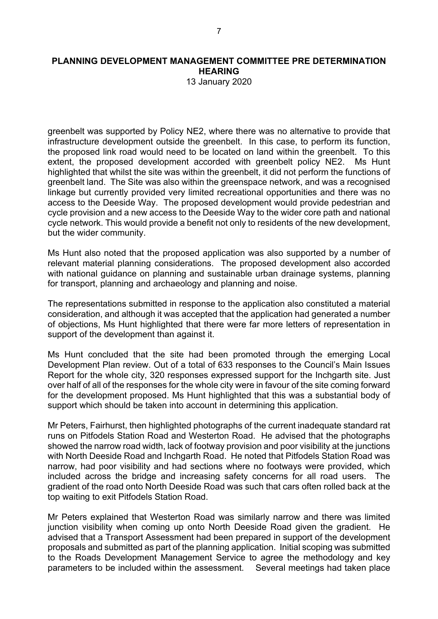13 January 2020

greenbelt was supported by Policy NE2, where there was no alternative to provide that infrastructure development outside the greenbelt. In this case, to perform its function, the proposed link road would need to be located on land within the greenbelt. To this extent, the proposed development accorded with greenbelt policy NE2. Ms Hunt highlighted that whilst the site was within the greenbelt, it did not perform the functions of greenbelt land. The Site was also within the greenspace network, and was a recognised linkage but currently provided very limited recreational opportunities and there was no access to the Deeside Way. The proposed development would provide pedestrian and cycle provision and a new access to the Deeside Way to the wider core path and national cycle network. This would provide a benefit not only to residents of the new development, but the wider community.

Ms Hunt also noted that the proposed application was also supported by a number of relevant material planning considerations. The proposed development also accorded with national guidance on planning and sustainable urban drainage systems, planning for transport, planning and archaeology and planning and noise.

The representations submitted in response to the application also constituted a material consideration, and although it was accepted that the application had generated a number of objections, Ms Hunt highlighted that there were far more letters of representation in support of the development than against it.

Ms Hunt concluded that the site had been promoted through the emerging Local Development Plan review. Out of a total of 633 responses to the Council's Main Issues Report for the whole city, 320 responses expressed support for the Inchgarth site. Just over half of all of the responses for the whole city were in favour of the site coming forward for the development proposed. Ms Hunt highlighted that this was a substantial body of support which should be taken into account in determining this application.

Mr Peters, Fairhurst, then highlighted photographs of the current inadequate standard rat runs on Pitfodels Station Road and Westerton Road. He advised that the photographs showed the narrow road width, lack of footway provision and poor visibility at the junctions with North Deeside Road and Inchgarth Road. He noted that Pitfodels Station Road was narrow, had poor visibility and had sections where no footways were provided, which included across the bridge and increasing safety concerns for all road users. The gradient of the road onto North Deeside Road was such that cars often rolled back at the top waiting to exit Pitfodels Station Road.

Mr Peters explained that Westerton Road was similarly narrow and there was limited junction visibility when coming up onto North Deeside Road given the gradient. He advised that a Transport Assessment had been prepared in support of the development proposals and submitted as part of the planning application. Initial scoping was submitted to the Roads Development Management Service to agree the methodology and key parameters to be included within the assessment. Several meetings had taken place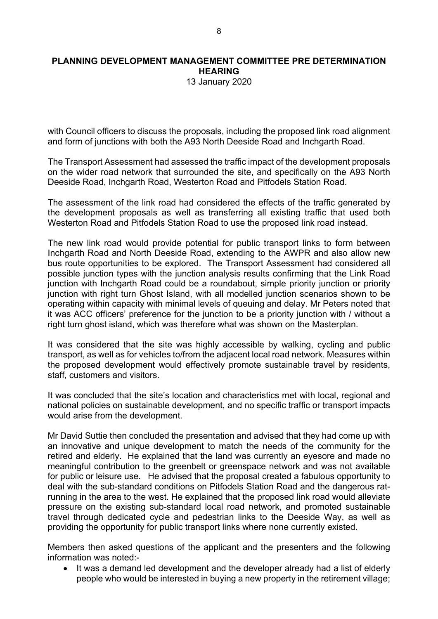13 January 2020

with Council officers to discuss the proposals, including the proposed link road alignment and form of junctions with both the A93 North Deeside Road and Inchgarth Road.

The Transport Assessment had assessed the traffic impact of the development proposals on the wider road network that surrounded the site, and specifically on the A93 North Deeside Road, Inchgarth Road, Westerton Road and Pitfodels Station Road.

The assessment of the link road had considered the effects of the traffic generated by the development proposals as well as transferring all existing traffic that used both Westerton Road and Pitfodels Station Road to use the proposed link road instead.

The new link road would provide potential for public transport links to form between Inchgarth Road and North Deeside Road, extending to the AWPR and also allow new bus route opportunities to be explored. The Transport Assessment had considered all possible junction types with the junction analysis results confirming that the Link Road junction with Inchgarth Road could be a roundabout, simple priority junction or priority junction with right turn Ghost Island, with all modelled junction scenarios shown to be operating within capacity with minimal levels of queuing and delay. Mr Peters noted that it was ACC officers' preference for the junction to be a priority junction with / without a right turn ghost island, which was therefore what was shown on the Masterplan.

It was considered that the site was highly accessible by walking, cycling and public transport, as well as for vehicles to/from the adjacent local road network. Measures within the proposed development would effectively promote sustainable travel by residents, staff, customers and visitors.

It was concluded that the site's location and characteristics met with local, regional and national policies on sustainable development, and no specific traffic or transport impacts would arise from the development.

Mr David Suttie then concluded the presentation and advised that they had come up with an innovative and unique development to match the needs of the community for the retired and elderly. He explained that the land was currently an eyesore and made no meaningful contribution to the greenbelt or greenspace network and was not available for public or leisure use. He advised that the proposal created a fabulous opportunity to deal with the sub-standard conditions on Pitfodels Station Road and the dangerous ratrunning in the area to the west. He explained that the proposed link road would alleviate pressure on the existing sub-standard local road network, and promoted sustainable travel through dedicated cycle and pedestrian links to the Deeside Way, as well as providing the opportunity for public transport links where none currently existed.

Members then asked questions of the applicant and the presenters and the following information was noted:-

 It was a demand led development and the developer already had a list of elderly people who would be interested in buying a new property in the retirement village;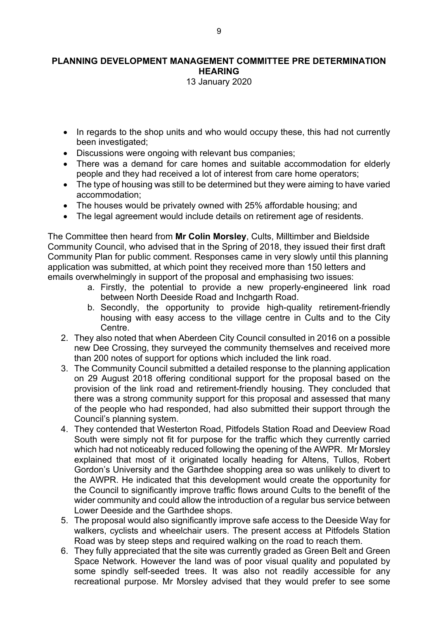13 January 2020

- In regards to the shop units and who would occupy these, this had not currently been investigated;
- Discussions were ongoing with relevant bus companies;
- There was a demand for care homes and suitable accommodation for elderly people and they had received a lot of interest from care home operators;
- The type of housing was still to be determined but they were aiming to have varied accommodation;
- The houses would be privately owned with 25% affordable housing: and
- The legal agreement would include details on retirement age of residents.

The Committee then heard from **Mr Colin Morsley**, Cults, Milltimber and Bieldside Community Council, who advised that in the Spring of 2018, they issued their first draft Community Plan for public comment. Responses came in very slowly until this planning application was submitted, at which point they received more than 150 letters and emails overwhelmingly in support of the proposal and emphasising two issues:

- a. Firstly, the potential to provide a new properly-engineered link road between North Deeside Road and Inchgarth Road.
- b. Secondly, the opportunity to provide high-quality retirement-friendly housing with easy access to the village centre in Cults and to the City Centre.
- 2. They also noted that when Aberdeen City Council consulted in 2016 on a possible new Dee Crossing, they surveyed the community themselves and received more than 200 notes of support for options which included the link road.
- 3. The Community Council submitted a detailed response to the planning application on 29 August 2018 offering conditional support for the proposal based on the provision of the link road and retirement-friendly housing. They concluded that there was a strong community support for this proposal and assessed that many of the people who had responded, had also submitted their support through the Council's planning system.
- 4. They contended that Westerton Road, Pitfodels Station Road and Deeview Road South were simply not fit for purpose for the traffic which they currently carried which had not noticeably reduced following the opening of the AWPR. Mr Morsley explained that most of it originated locally heading for Altens, Tullos, Robert Gordon's University and the Garthdee shopping area so was unlikely to divert to the AWPR. He indicated that this development would create the opportunity for the Council to significantly improve traffic flows around Cults to the benefit of the wider community and could allow the introduction of a regular bus service between Lower Deeside and the Garthdee shops.
- 5. The proposal would also significantly improve safe access to the Deeside Way for walkers, cyclists and wheelchair users. The present access at Pitfodels Station Road was by steep steps and required walking on the road to reach them.
- 6. They fully appreciated that the site was currently graded as Green Belt and Green Space Network. However the land was of poor visual quality and populated by some spindly self-seeded trees. It was also not readily accessible for any recreational purpose. Mr Morsley advised that they would prefer to see some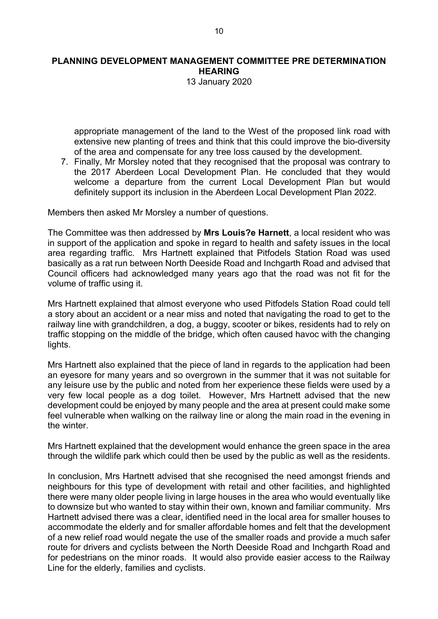13 January 2020

appropriate management of the land to the West of the proposed link road with extensive new planting of trees and think that this could improve the bio-diversity of the area and compensate for any tree loss caused by the development.

7. Finally, Mr Morsley noted that they recognised that the proposal was contrary to the 2017 Aberdeen Local Development Plan. He concluded that they would welcome a departure from the current Local Development Plan but would definitely support its inclusion in the Aberdeen Local Development Plan 2022.

Members then asked Mr Morsley a number of questions.

The Committee was then addressed by **Mrs Louis?e Harnett**, a local resident who was in support of the application and spoke in regard to health and safety issues in the local area regarding traffic. Mrs Hartnett explained that Pitfodels Station Road was used basically as a rat run between North Deeside Road and Inchgarth Road and advised that Council officers had acknowledged many years ago that the road was not fit for the volume of traffic using it.

Mrs Hartnett explained that almost everyone who used Pitfodels Station Road could tell a story about an accident or a near miss and noted that navigating the road to get to the railway line with grandchildren, a dog, a buggy, scooter or bikes, residents had to rely on traffic stopping on the middle of the bridge, which often caused havoc with the changing lights.

Mrs Hartnett also explained that the piece of land in regards to the application had been an eyesore for many years and so overgrown in the summer that it was not suitable for any leisure use by the public and noted from her experience these fields were used by a very few local people as a dog toilet. However, Mrs Hartnett advised that the new development could be enjoyed by many people and the area at present could make some feel vulnerable when walking on the railway line or along the main road in the evening in the winter.

Mrs Hartnett explained that the development would enhance the green space in the area through the wildlife park which could then be used by the public as well as the residents.

In conclusion, Mrs Hartnett advised that she recognised the need amongst friends and neighbours for this type of development with retail and other facilities, and highlighted there were many older people living in large houses in the area who would eventually like to downsize but who wanted to stay within their own, known and familiar community. Mrs Hartnett advised there was a clear, identified need in the local area for smaller houses to accommodate the elderly and for smaller affordable homes and felt that the development of a new relief road would negate the use of the smaller roads and provide a much safer route for drivers and cyclists between the North Deeside Road and Inchgarth Road and for pedestrians on the minor roads. It would also provide easier access to the Railway Line for the elderly, families and cyclists.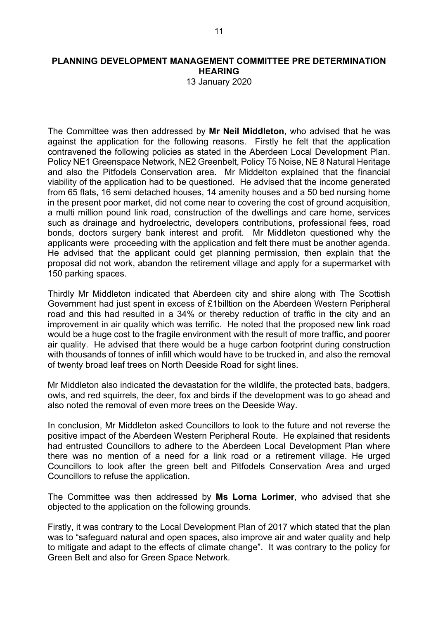13 January 2020

The Committee was then addressed by **Mr Neil Middleton**, who advised that he was against the application for the following reasons. Firstly he felt that the application contravened the following policies as stated in the Aberdeen Local Development Plan. Policy NE1 Greenspace Network, NE2 Greenbelt, Policy T5 Noise, NE 8 Natural Heritage and also the Pitfodels Conservation area. Mr Middelton explained that the financial viability of the application had to be questioned. He advised that the income generated from 65 flats, 16 semi detached houses, 14 amenity houses and a 50 bed nursing home in the present poor market, did not come near to covering the cost of ground acquisition, a multi million pound link road, construction of the dwellings and care home, services such as drainage and hydroelectric, developers contributions, professional fees, road bonds, doctors surgery bank interest and profit. Mr Middleton questioned why the applicants were proceeding with the application and felt there must be another agenda. He advised that the applicant could get planning permission, then explain that the proposal did not work, abandon the retirement village and apply for a supermarket with 150 parking spaces.

Thirdly Mr Middleton indicated that Aberdeen city and shire along with The Scottish Government had just spent in excess of £1billtion on the Aberdeen Western Peripheral road and this had resulted in a 34% or thereby reduction of traffic in the city and an improvement in air quality which was terrific. He noted that the proposed new link road would be a huge cost to the fragile environment with the result of more traffic, and poorer air quality. He advised that there would be a huge carbon footprint during construction with thousands of tonnes of infill which would have to be trucked in, and also the removal of twenty broad leaf trees on North Deeside Road for sight lines.

Mr Middleton also indicated the devastation for the wildlife, the protected bats, badgers, owls, and red squirrels, the deer, fox and birds if the development was to go ahead and also noted the removal of even more trees on the Deeside Way.

In conclusion, Mr Middleton asked Councillors to look to the future and not reverse the positive impact of the Aberdeen Western Peripheral Route. He explained that residents had entrusted Councillors to adhere to the Aberdeen Local Development Plan where there was no mention of a need for a link road or a retirement village. He urged Councillors to look after the green belt and Pitfodels Conservation Area and urged Councillors to refuse the application.

The Committee was then addressed by **Ms Lorna Lorimer**, who advised that she objected to the application on the following grounds.

Firstly, it was contrary to the Local Development Plan of 2017 which stated that the plan was to "safeguard natural and open spaces, also improve air and water quality and help to mitigate and adapt to the effects of climate change". It was contrary to the policy for Green Belt and also for Green Space Network.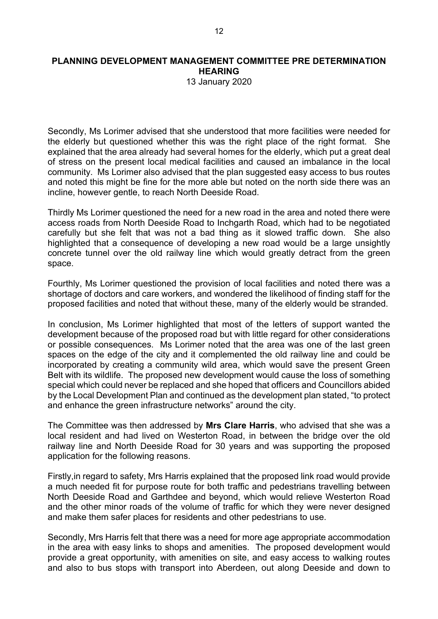13 January 2020

Secondly, Ms Lorimer advised that she understood that more facilities were needed for the elderly but questioned whether this was the right place of the right format. She explained that the area already had several homes for the elderly, which put a great deal of stress on the present local medical facilities and caused an imbalance in the local community. Ms Lorimer also advised that the plan suggested easy access to bus routes and noted this might be fine for the more able but noted on the north side there was an incline, however gentle, to reach North Deeside Road.

Thirdly Ms Lorimer questioned the need for a new road in the area and noted there were access roads from North Deeside Road to Inchgarth Road, which had to be negotiated carefully but she felt that was not a bad thing as it slowed traffic down. She also highlighted that a consequence of developing a new road would be a large unsightly concrete tunnel over the old railway line which would greatly detract from the green space.

Fourthly, Ms Lorimer questioned the provision of local facilities and noted there was a shortage of doctors and care workers, and wondered the likelihood of finding staff for the proposed facilities and noted that without these, many of the elderly would be stranded.

In conclusion, Ms Lorimer highlighted that most of the letters of support wanted the development because of the proposed road but with little regard for other considerations or possible consequences. Ms Lorimer noted that the area was one of the last green spaces on the edge of the city and it complemented the old railway line and could be incorporated by creating a community wild area, which would save the present Green Belt with its wildlife. The proposed new development would cause the loss of something special which could never be replaced and she hoped that officers and Councillors abided by the Local Development Plan and continued as the development plan stated, "to protect and enhance the green infrastructure networks" around the city.

The Committee was then addressed by **Mrs Clare Harris**, who advised that she was a local resident and had lived on Westerton Road, in between the bridge over the old railway line and North Deeside Road for 30 years and was supporting the proposed application for the following reasons.

Firstly,in regard to safety, Mrs Harris explained that the proposed link road would provide a much needed fit for purpose route for both traffic and pedestrians travelling between North Deeside Road and Garthdee and beyond, which would relieve Westerton Road and the other minor roads of the volume of traffic for which they were never designed and make them safer places for residents and other pedestrians to use.

Secondly, Mrs Harris felt that there was a need for more age appropriate accommodation in the area with easy links to shops and amenities. The proposed development would provide a great opportunity, with amenities on site, and easy access to walking routes and also to bus stops with transport into Aberdeen, out along Deeside and down to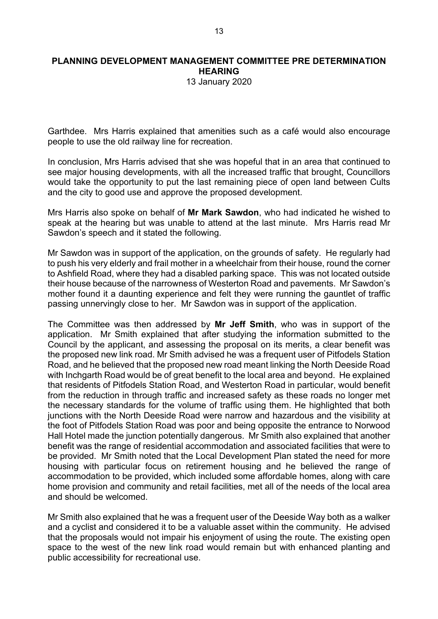13 January 2020

Garthdee. Mrs Harris explained that amenities such as a café would also encourage people to use the old railway line for recreation.

In conclusion, Mrs Harris advised that she was hopeful that in an area that continued to see major housing developments, with all the increased traffic that brought, Councillors would take the opportunity to put the last remaining piece of open land between Cults and the city to good use and approve the proposed development.

Mrs Harris also spoke on behalf of **Mr Mark Sawdon**, who had indicated he wished to speak at the hearing but was unable to attend at the last minute. Mrs Harris read Mr Sawdon's speech and it stated the following.

Mr Sawdon was in support of the application, on the grounds of safety. He regularly had to push his very elderly and frail mother in a wheelchair from their house, round the corner to Ashfield Road, where they had a disabled parking space. This was not located outside their house because of the narrowness of Westerton Road and pavements. Mr Sawdon's mother found it a daunting experience and felt they were running the gauntlet of traffic passing unnervingly close to her. Mr Sawdon was in support of the application.

The Committee was then addressed by **Mr Jeff Smith**, who was in support of the application. Mr Smith explained that after studying the information submitted to the Council by the applicant, and assessing the proposal on its merits, a clear benefit was the proposed new link road. Mr Smith advised he was a frequent user of Pitfodels Station Road, and he believed that the proposed new road meant linking the North Deeside Road with Inchgarth Road would be of great benefit to the local area and beyond. He explained that residents of Pitfodels Station Road, and Westerton Road in particular, would benefit from the reduction in through traffic and increased safety as these roads no longer met the necessary standards for the volume of traffic using them. He highlighted that both junctions with the North Deeside Road were narrow and hazardous and the visibility at the foot of Pitfodels Station Road was poor and being opposite the entrance to Norwood Hall Hotel made the junction potentially dangerous. Mr Smith also explained that another benefit was the range of residential accommodation and associated facilities that were to be provided. Mr Smith noted that the Local Development Plan stated the need for more housing with particular focus on retirement housing and he believed the range of accommodation to be provided, which included some affordable homes, along with care home provision and community and retail facilities, met all of the needs of the local area and should be welcomed.

Mr Smith also explained that he was a frequent user of the Deeside Way both as a walker and a cyclist and considered it to be a valuable asset within the community. He advised that the proposals would not impair his enjoyment of using the route. The existing open space to the west of the new link road would remain but with enhanced planting and public accessibility for recreational use.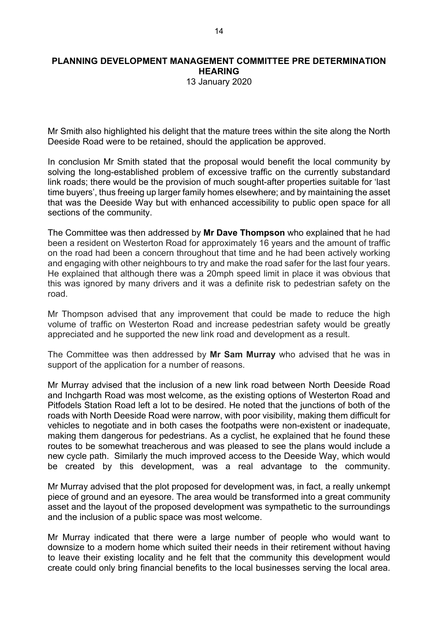13 January 2020

Mr Smith also highlighted his delight that the mature trees within the site along the North Deeside Road were to be retained, should the application be approved.

In conclusion Mr Smith stated that the proposal would benefit the local community by solving the long-established problem of excessive traffic on the currently substandard link roads; there would be the provision of much sought-after properties suitable for 'last time buyers', thus freeing up larger family homes elsewhere; and by maintaining the asset that was the Deeside Way but with enhanced accessibility to public open space for all sections of the community.

The Committee was then addressed by **Mr Dave Thompson** who explained that he had been a resident on Westerton Road for approximately 16 years and the amount of traffic on the road had been a concern throughout that time and he had been actively working and engaging with other neighbours to try and make the road safer for the last four years. He explained that although there was a 20mph speed limit in place it was obvious that this was ignored by many drivers and it was a definite risk to pedestrian safety on the road.

Mr Thompson advised that any improvement that could be made to reduce the high volume of traffic on Westerton Road and increase pedestrian safety would be greatly appreciated and he supported the new link road and development as a result.

The Committee was then addressed by **Mr Sam Murray** who advised that he was in support of the application for a number of reasons.

Mr Murray advised that the inclusion of a new link road between North Deeside Road and Inchgarth Road was most welcome, as the existing options of Westerton Road and Pitfodels Station Road left a lot to be desired. He noted that the junctions of both of the roads with North Deeside Road were narrow, with poor visibility, making them difficult for vehicles to negotiate and in both cases the footpaths were non-existent or inadequate, making them dangerous for pedestrians. As a cyclist, he explained that he found these routes to be somewhat treacherous and was pleased to see the plans would include a new cycle path. Similarly the much improved access to the Deeside Way, which would be created by this development, was a real advantage to the community.

Mr Murray advised that the plot proposed for development was, in fact, a really unkempt piece of ground and an eyesore. The area would be transformed into a great community asset and the layout of the proposed development was sympathetic to the surroundings and the inclusion of a public space was most welcome.

Mr Murray indicated that there were a large number of people who would want to downsize to a modern home which suited their needs in their retirement without having to leave their existing locality and he felt that the community this development would create could only bring financial benefits to the local businesses serving the local area.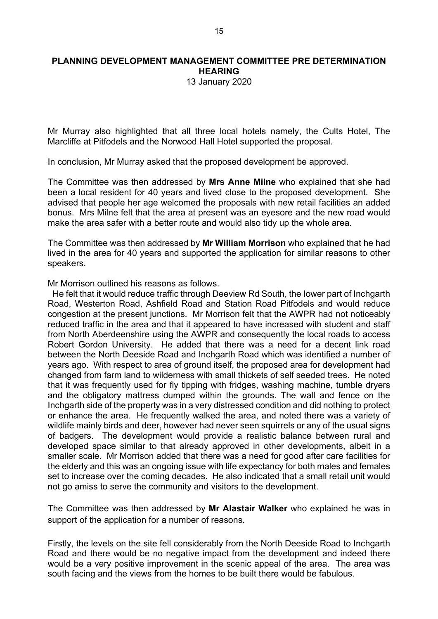13 January 2020

Mr Murray also highlighted that all three local hotels namely, the Cults Hotel, The Marcliffe at Pitfodels and the Norwood Hall Hotel supported the proposal.

In conclusion, Mr Murray asked that the proposed development be approved.

The Committee was then addressed by **Mrs Anne Milne** who explained that she had been a local resident for 40 years and lived close to the proposed development. She advised that people her age welcomed the proposals with new retail facilities an added bonus. Mrs Milne felt that the area at present was an eyesore and the new road would make the area safer with a better route and would also tidy up the whole area.

The Committee was then addressed by **Mr William Morrison** who explained that he had lived in the area for 40 years and supported the application for similar reasons to other speakers.

Mr Morrison outlined his reasons as follows.

 He felt that it would reduce traffic through Deeview Rd South, the Iower part of Inchgarth Road, Westerton Road, Ashfield Road and Station Road Pitfodels and would reduce congestion at the present junctions. Mr Morrison felt that the AWPR had not noticeably reduced traffic in the area and that it appeared to have increased with student and staff from North Aberdeenshire using the AWPR and consequently the local roads to access Robert Gordon University. He added that there was a need for a decent link road between the North Deeside Road and Inchgarth Road which was identified a number of years ago. With respect to area of ground itself, the proposed area for development had changed from farm land to wilderness with small thickets of self seeded trees. He noted that it was frequently used for fly tipping with fridges, washing machine, tumble dryers and the obligatory mattress dumped within the grounds. The wall and fence on the Inchgarth side of the property was in a very distressed condition and did nothing to protect or enhance the area. He frequently walked the area, and noted there was a variety of wildlife mainly birds and deer, however had never seen squirrels or any of the usual signs of badgers. The development would provide a realistic balance between rural and developed space similar to that already approved in other developments, albeit in a smaller scale. Mr Morrison added that there was a need for good after care facilities for the elderly and this was an ongoing issue with life expectancy for both males and females set to increase over the coming decades. He also indicated that a small retail unit would not go amiss to serve the community and visitors to the development.

The Committee was then addressed by **Mr Alastair Walker** who explained he was in support of the application for a number of reasons.

Firstly, the levels on the site fell considerably from the North Deeside Road to Inchgarth Road and there would be no negative impact from the development and indeed there would be a very positive improvement in the scenic appeal of the area. The area was south facing and the views from the homes to be built there would be fabulous.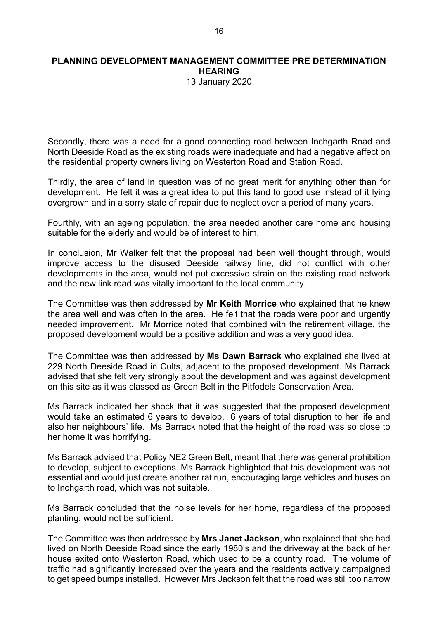13 January 2020

Secondly, there was a need for a good connecting road between Inchgarth Road and North Deeside Road as the existing roads were inadequate and had a negative affect on the residential property owners living on Westerton Road and Station Road.

Thirdly, the area of land in question was of no great merit for anything other than for development. He felt it was a great idea to put this land to good use instead of it lying overgrown and in a sorry state of repair due to neglect over a period of many years.

Fourthly, with an ageing population, the area needed another care home and housing suitable for the elderly and would be of interest to him.

In conclusion, Mr Walker felt that the proposal had been well thought through, would improve access to the disused Deeside railway line, did not conflict with other developments in the area, would not put excessive strain on the existing road network and the new link road was vitally important to the local community.

The Committee was then addressed by **Mr Keith Morrice** who explained that he knew the area well and was often in the area. He felt that the roads were poor and urgently needed improvement. Mr Morrice noted that combined with the retirement village, the proposed development would be a positive addition and was a very good idea.

The Committee was then addressed by **Ms Dawn Barrack** who explained she lived at 229 North Deeside Road in Cults, adjacent to the proposed development. Ms Barrack advised that she felt very strongly about the development and was against development on this site as it was classed as Green Belt in the Pitfodels Conservation Area.

Ms Barrack indicated her shock that it was suggested that the proposed development would take an estimated 6 years to develop. 6 years of total disruption to her life and also her neighbours' life. Ms Barrack noted that the height of the road was so close to her home it was horrifying.

Ms Barrack advised that Policy NE2 Green Belt, meant that there was general prohibition to develop, subject to exceptions. Ms Barrack highlighted that this development was not essential and would just create another rat run, encouraging large vehicles and buses on to Inchgarth road, which was not suitable.

Ms Barrack concluded that the noise levels for her home, regardless of the proposed planting, would not be sufficient.

The Committee was then addressed by **Mrs Janet Jackson**, who explained that she had lived on North Deeside Road since the early 1980's and the driveway at the back of her house exited onto Westerton Road, which used to be a country road. The volume of traffic had significantly increased over the years and the residents actively campaigned to get speed bumps installed. However Mrs Jackson felt that the road was still too narrow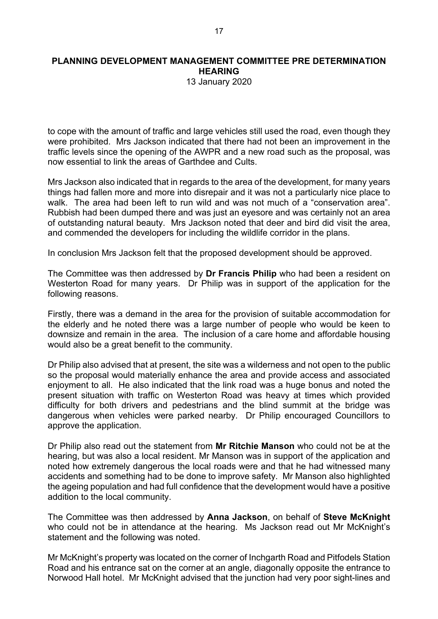13 January 2020

to cope with the amount of traffic and large vehicles still used the road, even though they were prohibited. Mrs Jackson indicated that there had not been an improvement in the traffic levels since the opening of the AWPR and a new road such as the proposal, was now essential to link the areas of Garthdee and Cults.

Mrs Jackson also indicated that in regards to the area of the development, for many years things had fallen more and more into disrepair and it was not a particularly nice place to walk. The area had been left to run wild and was not much of a "conservation area". Rubbish had been dumped there and was just an eyesore and was certainly not an area of outstanding natural beauty. Mrs Jackson noted that deer and bird did visit the area, and commended the developers for including the wildlife corridor in the plans.

In conclusion Mrs Jackson felt that the proposed development should be approved.

The Committee was then addressed by **Dr Francis Philip** who had been a resident on Westerton Road for many years. Dr Philip was in support of the application for the following reasons.

Firstly, there was a demand in the area for the provision of suitable accommodation for the elderly and he noted there was a large number of people who would be keen to downsize and remain in the area. The inclusion of a care home and affordable housing would also be a great benefit to the community.

Dr Philip also advised that at present, the site was a wilderness and not open to the public so the proposal would materially enhance the area and provide access and associated enjoyment to all. He also indicated that the link road was a huge bonus and noted the present situation with traffic on Westerton Road was heavy at times which provided difficulty for both drivers and pedestrians and the blind summit at the bridge was dangerous when vehicles were parked nearby. Dr Philip encouraged Councillors to approve the application.

Dr Philip also read out the statement from **Mr Ritchie Manson** who could not be at the hearing, but was also a local resident. Mr Manson was in support of the application and noted how extremely dangerous the local roads were and that he had witnessed many accidents and something had to be done to improve safety. Mr Manson also highlighted the ageing population and had full confidence that the development would have a positive addition to the local community.

The Committee was then addressed by **Anna Jackson**, on behalf of **Steve McKnight** who could not be in attendance at the hearing. Ms Jackson read out Mr McKnight's statement and the following was noted.

Mr McKnight's property was located on the corner of Inchgarth Road and Pitfodels Station Road and his entrance sat on the corner at an angle, diagonally opposite the entrance to Norwood Hall hotel. Mr McKnight advised that the junction had very poor sight-lines and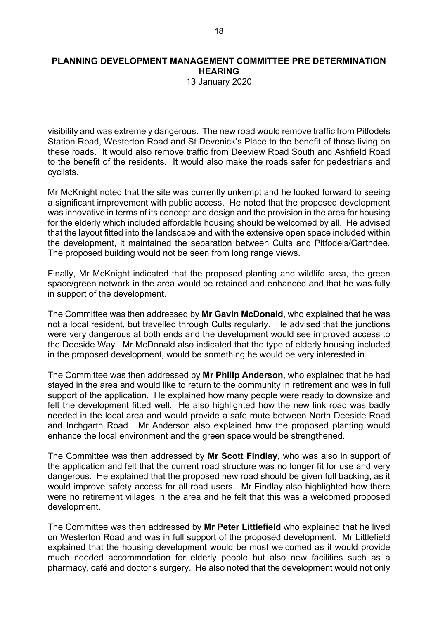13 January 2020

visibility and was extremely dangerous. The new road would remove traffic from Pitfodels Station Road, Westerton Road and St Devenick's Place to the benefit of those living on these roads. It would also remove traffic from Deeview Road South and Ashfield Road to the benefit of the residents. It would also make the roads safer for pedestrians and cyclists.

Mr McKnight noted that the site was currently unkempt and he looked forward to seeing a significant improvement with public access. He noted that the proposed development was innovative in terms of its concept and design and the provision in the area for housing for the elderly which included affordable housing should be welcomed by all. He advised that the layout fitted into the landscape and with the extensive open space included within the development, it maintained the separation between Cults and Pitfodels/Garthdee. The proposed building would not be seen from long range views.

Finally, Mr McKnight indicated that the proposed planting and wildlife area, the green space/green network in the area would be retained and enhanced and that he was fully in support of the development.

The Committee was then addressed by **Mr Gavin McDonald**, who explained that he was not a local resident, but travelled through Cults regularly. He advised that the junctions were very dangerous at both ends and the development would see improved access to the Deeside Way. Mr McDonald also indicated that the type of elderly housing included in the proposed development, would be something he would be very interested in.

The Committee was then addressed by **Mr Philip Anderson**, who explained that he had stayed in the area and would like to return to the community in retirement and was in full support of the application. He explained how many people were ready to downsize and felt the development fitted well. He also highlighted how the new link road was badly needed in the local area and would provide a safe route between North Deeside Road and Inchgarth Road. Mr Anderson also explained how the proposed planting would enhance the local environment and the green space would be strengthened.

The Committee was then addressed by **Mr Scott Findlay**, who was also in support of the application and felt that the current road structure was no longer fit for use and very dangerous. He explained that the proposed new road should be given full backing, as it would improve safety access for all road users. Mr Findlay also highlighted how there were no retirement villages in the area and he felt that this was a welcomed proposed development.

The Committee was then addressed by **Mr Peter Littlefield** who explained that he lived on Westerton Road and was in full support of the proposed development. Mr Littlefield explained that the housing development would be most welcomed as it would provide much needed accommodation for elderly people but also new facilities such as a pharmacy, café and doctor's surgery. He also noted that the development would not only